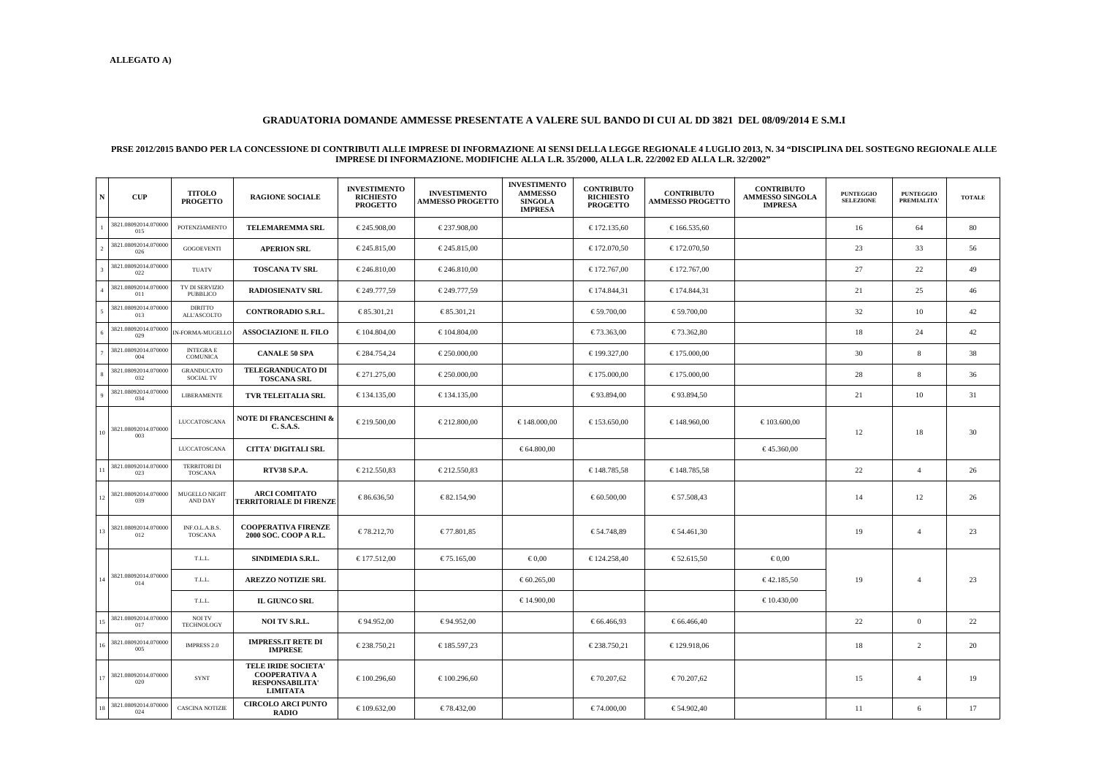## **GRADUATORIA DOMANDE AMMESSE PRESENTATE A VALERE SUL BANDO DI CUI AL DD 3821 DEL 08/09/2014 E S.M.I**

## PRSE 2012/2015 BANDO PER LA CONCESSIONE DI CONTRIBUTI ALLE IMPRESE DI INFORMAZIONE AI SENSI DELLA LEGGE REGIONALE 4 LUGLIO 2013, N. 34 "DISCIPLINA DEL SOSTEGNO REGIONALE ALLE IMPRESE DI INFORMAZIONE. MODIFICHE ALLA L.R. 35

| $\mathbf N$ | CUP                         | <b>TITOLO</b><br><b>PROGETTO</b>   | <b>RAGIONE SOCIALE</b>                                                                          | <b>INVESTIMENTO</b><br><b>RICHIESTO</b><br><b>PROGETTO</b> | <b>INVESTIMENTO</b><br><b>AMMESSO PROGETTO</b> | <b>INVESTIMENTO</b><br><b>AMMESSO</b><br><b>SINGOLA</b><br><b>IMPRESA</b> | <b>CONTRIBUTO</b><br><b>RICHIESTO</b><br><b>PROGETTO</b> | <b>CONTRIBUTO</b><br><b>AMMESSO PROGETTO</b> | <b>CONTRIBUTO</b><br>AMMESSO SINGOLA<br><b>IMPRESA</b> | <b>PUNTEGGIO</b><br><b>SELEZIONE</b> | <b>PUNTEGGIO</b><br>PREMIALITA' | <b>TOTALE</b> |
|-------------|-----------------------------|------------------------------------|-------------------------------------------------------------------------------------------------|------------------------------------------------------------|------------------------------------------------|---------------------------------------------------------------------------|----------------------------------------------------------|----------------------------------------------|--------------------------------------------------------|--------------------------------------|---------------------------------|---------------|
|             | 3821.08092014.070000<br>015 | POTENZIAMENTO                      | <b>TELEMAREMMA SRL</b>                                                                          | € 245.908,00                                               | € 237.908,00                                   |                                                                           | € 172.135,60                                             | € 166.535,60                                 |                                                        | 16                                   | 64                              | 80            |
|             | 3821.08092014.070000<br>026 | <b>GOGOEVENTI</b>                  | <b>APERION SRL</b>                                                                              | € 245.815,00                                               | € 245.815,00                                   |                                                                           | € 172.070,50                                             | € 172.070,50                                 |                                                        | 23                                   | 33                              | 56            |
|             | 3821.08092014.070000<br>022 | <b>TUATV</b>                       | <b>TOSCANA TV SRL</b>                                                                           | $\epsilon$ 246.810,00                                      | € 246.810,00                                   |                                                                           | € 172.767,00                                             | € 172.767,00                                 |                                                        | 27                                   | 22                              | 49            |
|             | 3821.08092014.070000<br>011 | TV DI SERVIZIO<br>PUBBLICO         | <b>RADIOSIENATV SRL</b>                                                                         | € 249.777,59                                               | € 249.777,59                                   |                                                                           | € 174.844,31                                             | € 174.844,31                                 |                                                        | 21                                   | 25                              | 46            |
|             | 3821.08092014.070000<br>013 | DIRITTO<br>ALL'ASCOLTO             | <b>CONTRORADIO S.R.L.</b>                                                                       | € 85.301,21                                                | € 85.301,21                                    |                                                                           | € 59.700,00                                              | € 59.700,00                                  |                                                        | 32                                   | 10                              | 42            |
|             | 3821.08092014.070000<br>029 | IN-FORMA-MUGELLC                   | <b>ASSOCIAZIONE IL FILO</b>                                                                     | € 104.804,00                                               | $\epsilon$ 104.804,00                          |                                                                           | € 73.363,00                                              | € 73.362,80                                  |                                                        | 18                                   | 24                              | 42            |
|             | 3821.08092014.070000<br>004 | <b>INTEGRAE</b><br><b>COMUNICA</b> | <b>CANALE 50 SPA</b>                                                                            | € 284.754,24                                               | € 250.000,00                                   |                                                                           | € 199.327,00                                             | $\epsilon$ 175.000,00                        |                                                        | 30                                   | 8                               | 38            |
| 8           | 3821.08092014.070000<br>032 | <b>GRANDUCATO</b><br>SOCIAL TV     | <b>TELEGRANDUCATO DI</b><br><b>TOSCANA SRL</b>                                                  | € 271.275,00                                               | € 250.000,00                                   |                                                                           | $\epsilon$ 175.000,00                                    | $\epsilon$ 175.000,00                        |                                                        | 28                                   | 8                               | 36            |
|             | 3821.08092014.070000<br>034 | <b>LIBERAMENTE</b>                 | <b>TVR TELEITALIA SRL</b>                                                                       | $\epsilon$ 134.135,00                                      | $\epsilon$ 134.135,00                          |                                                                           | € 93.894,00                                              | € 93.894,50                                  |                                                        | 21                                   | 10                              | 31            |
| 10          | 3821.08092014.070000<br>003 | LUCCATOSCANA                       | NOTE DI FRANCESCHINI &<br><b>C. S.A.S.</b>                                                      | € 219.500,00                                               | € 212.800,00                                   | $\epsilon$ 148.000,00                                                     | € 153.650,00                                             | 48.960,00                                    | $\epsilon$ 103.600,00                                  | 12                                   | 18                              | 30            |
|             |                             | LUCCATOSCANA                       | <b>CITTA' DIGITALI SRL</b>                                                                      |                                                            |                                                | € 64.800,00                                                               |                                                          |                                              | € 45.360,00                                            |                                      |                                 |               |
|             | 3821.08092014.070000<br>023 | <b>TERRITORI DI</b><br>TOSCANA     | <b>RTV38 S.P.A.</b>                                                                             | € 212.550,83                                               | € 212.550,83                                   |                                                                           | € 148.785,58                                             | € 148.785,58                                 |                                                        | 22                                   | $\overline{4}$                  | 26            |
| 12          | 3821.08092014.070000<br>039 | <b>MUGELLO NIGHT</b><br>AND DAY    | <b>ARCI COMITATO</b><br><b>TERRITORIALE DI FIRENZE</b>                                          | € 86.636,50                                                | € 82.154,90                                    |                                                                           | € 60.500,00                                              | € 57.508,43                                  |                                                        | 14                                   | 12                              | 26            |
|             | 3821.08092014.070000<br>012 | INF.O.L.A.B.S.<br><b>TOSCANA</b>   | <b>COOPERATIVA FIRENZE</b><br>2000 SOC. COOP A R.L.                                             | € 78.212,70                                                | € 77.801,85                                    |                                                                           | € 54.748,89                                              | € 54.461,30                                  |                                                        | 19                                   | $\overline{4}$                  | 23            |
|             | 3821.08092014.070000<br>014 | T.L.L.                             | SINDIMEDIA S.R.L.                                                                               | € 177.512,00                                               | € 75.165,00                                    | $\epsilon$ 0,00                                                           | € 124.258,40                                             | € 52.610,5                                   | $\epsilon$ 0,00                                        |                                      |                                 |               |
| 14          |                             | T.L.L.                             | <b>AREZZO NOTIZIE SRL</b>                                                                       |                                                            |                                                | € 60.265,00                                                               |                                                          |                                              | € 42.185,50                                            | 19                                   | $\overline{4}$                  | 23            |
|             |                             | T.L.L.                             | <b>IL GIUNCO SRL</b>                                                                            |                                                            |                                                | € 14.900,00                                                               |                                                          |                                              | $\epsilon$ 10.430,00                                   |                                      |                                 |               |
| 15          | 3821.08092014.070000<br>017 | NOI TV<br><b>TECHNOLOGY</b>        | <b>NOI TV S.R.L.</b>                                                                            | € 94.952,00                                                | € 94.952,00                                    |                                                                           | € 66.466,93                                              | € 66.466,40                                  |                                                        | 22                                   | $\overline{0}$                  | 22            |
| 16          | 3821.08092014.070000<br>005 | IMPRESS 2.0                        | <b>IMPRESS.IT RETE DI</b><br><b>IMPRESE</b>                                                     | € 238.750,21                                               | € 185.597,23                                   |                                                                           | € 238.750,21                                             | € 129.918,06                                 |                                                        | 18                                   | $\overline{2}$                  | 20            |
| 17          | 3821.08092014.070000<br>020 | SYNT                               | <b>TELE IRIDE SOCIETA'</b><br><b>COOPERATIVA A</b><br><b>RESPONSABILITA'</b><br><b>LIMITATA</b> | € 100.296,60                                               | € 100.296,60                                   |                                                                           | € 70.207,62                                              | € 70.207,62                                  |                                                        | 15                                   | $\overline{4}$                  | 19            |
|             | 3821.08092014.070000<br>024 | <b>CASCINA NOTIZIE</b>             | <b>CIRCOLO ARCI PUNTO</b><br><b>RADIO</b>                                                       | € 109.632,00                                               | € 78.432,00                                    |                                                                           | $\epsilon$ 74.000,00                                     | € 54.902,40                                  |                                                        | 11                                   | 6                               | 17            |